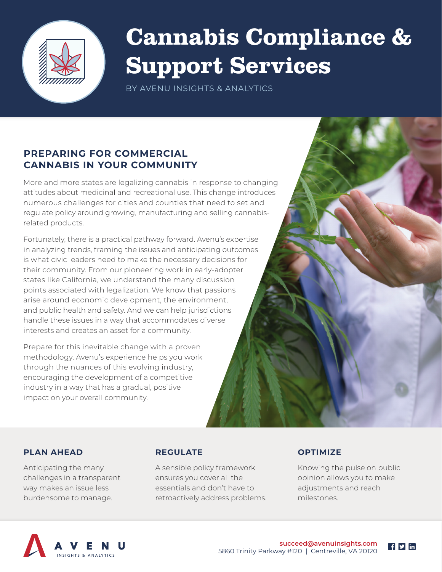

# Cannabis Compliance & Support Services

BY AVENU INSIGHTS & ANALYTICS

#### **PREPARING FOR COMMERCIAL CANNABIS IN YOUR COMMUNITY**

More and more states are legalizing cannabis in response to changing attitudes about medicinal and recreational use. This change introduces numerous challenges for cities and counties that need to set and regulate policy around growing, manufacturing and selling cannabisrelated products.

Fortunately, there is a practical pathway forward. Avenu's expertise in analyzing trends, framing the issues and anticipating outcomes is what civic leaders need to make the necessary decisions for their community. From our pioneering work in early-adopter states like California, we understand the many discussion points associated with legalization. We know that passions arise around economic development, the environment, and public health and safety. And we can help jurisdictions handle these issues in a way that accommodates diverse interests and creates an asset for a community.

Prepare for this inevitable change with a proven methodology. Avenu's experience helps you work through the nuances of this evolving industry, encouraging the development of a competitive industry in a way that has a gradual, positive impact on your overall community.

#### **PLAN AHEAD REGULATE OPTIMIZE**

A sensible policy framework ensures you cover all the essentials and don't have to retroactively address problems.

Knowing the pulse on public opinion allows you to make adjustments and reach milestones.



Anticipating the many challenges in a transparent way makes an issue less burdensome to manage.